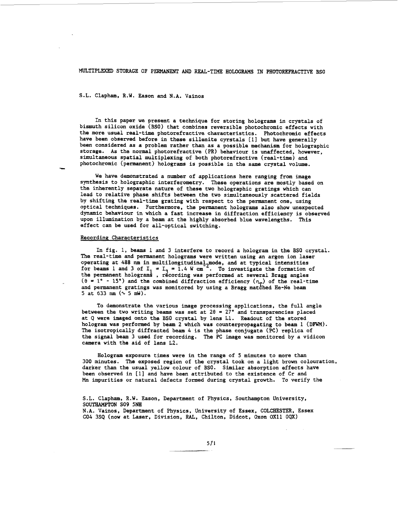MULTIPLEXED STORAGE OF PERMANENT AND REAL-TIME HOLOGRAMS IN PHOTOREFRACTIVE BSO

# S.L. Clapham, R.W. Eason and N.A. Vainos

In this paper we present a technique for storing holograms in crystals of bismuth silicon oxide **(BSO)** that combines reversible photochromic effects with the more usual real-time photorefractive characteristics. Photochromic effects have been observed before in these sillenite cyrstals [l] but have generally been considered as a problem rather than as a possible mechanism for holographic storage. As the normal photorefractive (PR) behaviour is unaffected, however, simultaneous spatial multiplexing of both photorefractive (real-time) and photochromic (permanent) holograms is possible in the same crystal volume.

We have demonstrated a number of applications here ranging from image synthesis to holographic interferometry. These operations are mostly based on the inherently separate nature of these two holographic gratings which can lead to relative phase shifts between the two simultaneously scattered fields by shifting the real-time grating with respect to the permanent one, using optical techniques. Furthermore, the permanent holograms also show unexpected dynamic behaviour in which a fast increase in diffraction efficiency is observed upon illumination by a beam at the highly absorbed blue wavelengths. This effect can be used for all-optical switching.

### Recording Characteristics

-

In fig. 1, beams 1 and *3* interfere to record a hologram in the **BSO** crystal. The real-time and permanent holograms were written using an argon ion laser operating at 488 nm in multilongitudinal<sub>c</sub>mode, and at typical intensities for beams 1 and 3 of  $I_1 = I_3 = 1.4$  W cm<sup>-2</sup>. To investigate the formation of the permanent holograms, recording was performed at several Bragg angles  $(9 = 1^{\circ} - 15^{\circ})$  and the combined diffraction efficiency  $(\eta_m)$  of the real-time and permanent gratings was monitored by using a Bragg matched He-Ne beam 5 at 633 nm  $(\sqrt{5} \text{ mW})$ . .<br>סם.

To demonstrate the various image processing applications, the full angle between the two writing beams was set at **29** = **27"** and transparencies placed at Q were imaged onto the BSO crystal by lens Ll. Readout of the stored hologram was performed by beam **2** which was counterpropagating to beam 1 (DFWM). The isotropically diffracted beam 4 is the phase conjugate (PC) replica of the signal beam **3** used for recording. The PC image was monitored by a vidicon camera with the aid of lens L2.

Hologram exposure times were in the range of 5 minutes to more than 300 minutes. The exposed region of the crystal **took** on a light brown colouration, darker than the usual yellow colour of BSO. Similar absorption effects have been observed in [l] and have been attributed to the existence of Cr and **Mn** impurities or natural defects formed during crystal growth. To verify the

S.L. Clapham, R.W. Eason, Department of Physics, Southampton University, **SOUTBAMPTON** SO9 **5NE** 

N.A. Vainos, Department of Physics, University of Essex, COLCHESTER, Essex CO4 3SQ (now at Laser, Division, RAL, Chilton, Didcot, Oxon OX11 **OQX)**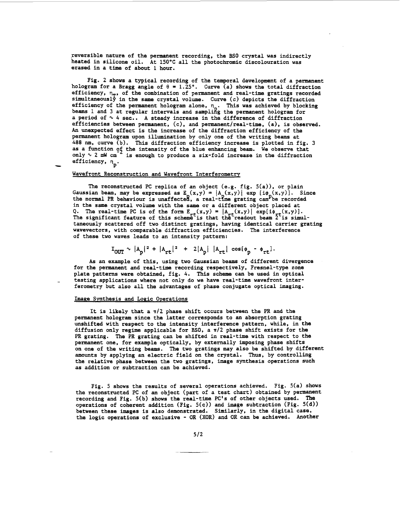**reversible nature of the permanent recording, the BSO crystal was indirectly heated in silicone oil. At 150°C all the photochromic discolouration was erased in a time of about 1 hour.** 

**Fig. 2 shows a typical recording of the temporal development of a permanent**  hologram for a Bragg angle of  $\theta = 1.25$ °. Curve (a) shows the total diffraction hologram for a Bragg angle of  $\theta = 1.25^{\circ}$ . Curve (a) shows the total diffraction efficiency,  $\eta_{\text{p}}$ , of the combination of permanent and real-time gratings recorded simultaneously in the same crystal volume. Curve (c) depicts the diffraction **efficiency of the permanent hologram alone, Curventificiency of the permanent hologram alone, n<sub>n</sub>. beams 1 and 3 at regular intervals and sampligg the permanent hologram for a period of** % *4* **sec.. A steady increase in the difference of diffraction efficiencies between permanent, (c), and permanent/real-time, (a), is observed. An unexpected effect is the increase of the diffraction efficiency of the permanent hologram upon illumination by only one of the writing beams at**  *488* **nm, curve (b). This diffraction efficiency increase is plotted in [fig. 3](#page-3-0) as a function** *25* **the intensity of the blue enhancing beam. only** % **2 mW** *cm*  efficiency,  $n_p$ . **This was achieved by blocking We observe that is enough to produce a six-fold increase in the diffraction** 

**Wavefront Reconstruction and Wavefront Interferometry** 

The reconstructed PC replica of an object (e.g. fig. 5(a)), or plain<br>Gaussian beam, may be expressed as E<sub>\_</sub>(x,y) =  $|A_n(x,y)|$  exp [i $\phi_n(x,y)$ ]. Si **the normal PR behaviour is unaffectea, a real-the grating can'be recorded in the same crystal volume with the same or a different object placed at**  Q. The real-time PC is of the form  $E_{r+}(x,y) = |A_{r+}(x,y)| \exp[i\phi_{r+}(x,y)].$ The significant feature of this scheme<sup>t</sup>is that the readout beam 2 is simul**taneously scattered off two distinct gratings, having identical carrier grating wavevectors, with comparable diffraction efficiencies. The interference of these two waves leads to an intensity pattern: Since** 

$$
I_{OUT} \sim |A_p|^2 + |A_{rt}|^2 + 2|A_p| |A_{rt}| \cos(\phi_p - \phi_{rt})
$$

**As an example of this, using two Gaussian beams of different divergence for the permanent and real-time recording respectively, Fresnel-type zone plate patterns were obtained, [fig.](#page-3-0)** *4.* **This scheme can be used in optical testing applications where not only do we have real-time wavefront interferometry but also all the advantages of phase conjugate optical imaging.** 

#### **Image Synthesis and Logic Operations**

-

**It is likely that a n/2 phase shift occurs between the PR and the permanent hologram since the latter corresponds to an absorption grating unshifted with respect to the intensity interference pattern, while, in the**  diffusion only regime applicable for BSO, a  $\pi/2$  phase shift exists for the **PR grating. The PR grating can be shifted in real-time with respect to the permanent one, for example optically, by externally imposing phase shifts on one of the writing beams. The two gratings may also be shifted by different amounts by applying an electric field on the crystal. Thus, by controlling the relative phase between the two gratings, image synthesis operations such as addition or subtraction can be achieved.** 

**[Fig.](#page-3-0) [5](#page-3-0) shows the results of several operations achieved. Fig. 5(a) shows the reconstructed PC of an object (part of a test chart) obtained by permanent recording and Fig. 5(b) shows the real-time PC's of other objects used. The operations of coherent addition (Fig. 5(c)) and image subtraction (Fig. 5(d)) between these images is also demonstrated. Similarly, in the digital case, the logic operations of exclusive** - **OR (XOR) and OR can be achieved. Another**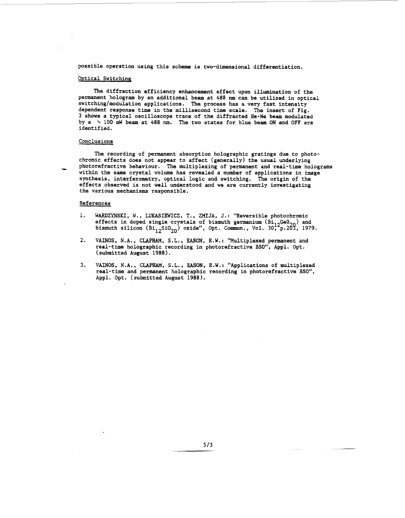possible operation using this scheme is two-dimensional differentiation.

## Optical Switching

The diffraction efficiency enhancement effect upon illumination of the permanent hologram by an additional beam at 488 nm can be utilized in optical switching/modulation applications. The process has a very fast intensity dependent response time in the millisecond time scale. The insert of Fig. 3 shows a typical oscilloscope trace of the diffracted He-Ne beam modulated by a  $\sim$  100 mW beam at 488 nm. The two states for blue beam ON and OFF are identified.

## Conclusions

The recording of permanent absorption holographic gratings due to photochromic effects does not appear to affect (generally) the usual underlying - photorefractive behaviour. The multiplexing of permanent and real-time holograms within the same crystal volume has revealed a number of applications in image synthesis, interferometry, optical logic and switching. The origin of the effects observed is not well understood and we are currently investigating the various mechanisms responsible.

#### References

- 1. WARDZYNSKI, W., LUKASIEWICZ, T., ZMIJA, J.: "Reversible photochromic effects in doped single crystals of bismuth germanium  $(\mathtt{Bi}_{12}$ Ge $0_{21}$ bismuth silicon (Bi<sub>12</sub>SiO<sub>20</sub>) oxide", Opt. Commun., Vol. 30;<sup>2</sup>p.203, 1979. ) and
- 2. VAINOS, N.A., CLAPHAM, S.L., **EASON,** R.W.: "Multiplexed permanent and real-time holographic recording in photorefractive **BSO",** Appl. Opt. (submitted August 1988).
- 3. VAINOS, N.A., CLAPHAM, **S.L., EASON,** R.W.: "Applications of multiplexed real-time and permanent holographic recording in photorefractive **BSO",**  Appl. Opt. (submitted August 1988).